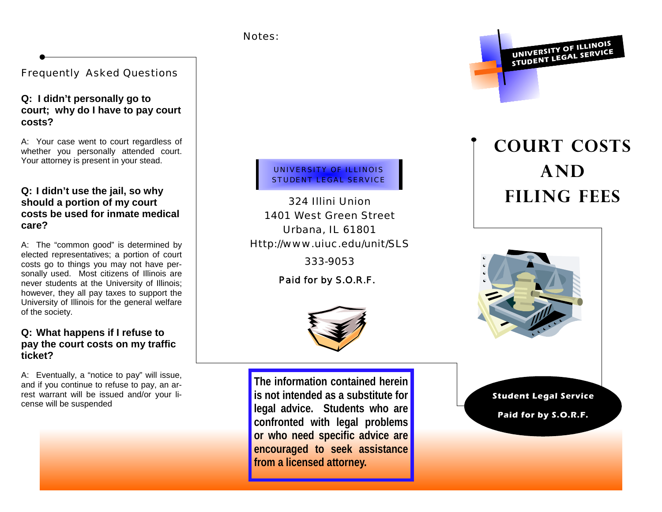#### Notes:

# Frequently Asked Questions

## **Q: I didn't personally go to court; why do I have to pay court costs?**

A: Your case went to court regardless of whether you personally attended court. Your attorney is present in your stead.

## **Q: I didn't use the jail, so why should a portion of my court costs be used for inmate medical care?**

A: The "common good" is determined by elected representatives; a portion of court costs go to things you may not have personally used. Most citizens of Illinois are never students at the University of Illinois; however, they all pay taxes to support the University of Illinois for the general welfare of the society.

# **Q: What happens if I refuse to pay the court costs on my traffic ticket?**

A: Eventually, a "notice to pay" will issue, and if you continue to refuse to pay, an arrest warrant will be issued and/or your license will be suspended

UNIVERSITY OF ILLINOIS STUDENT LEGAL SERVICE

324 Illini Union 1401 West Green Street Urbana, IL 61801 Http://www.uiuc.edu/unit/SLS

333-9053

*Paid for by S.O.R.F.* 



**The information contained herein is not intended as a substitute for legal advice. Students who are confronted with legal problems or who need specific advice are encouraged to seek assistance from a licensed attorney.**

**UNIVERSITY OF ILLINOIS STUDENT LEGAL SERVICE**

# **Court costs and filing fees**



#### **Student Legal Service**

**Paid for by S.O.R.F.**